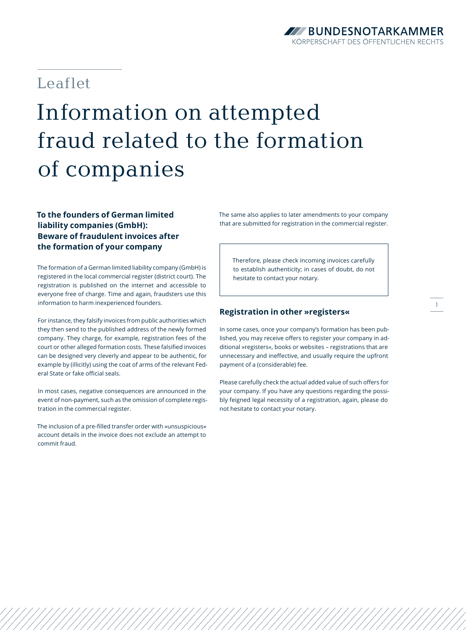### **ZZZBUNDESNOTARKAMMER** KÖRPFRSCHAFT DES ÖFFFNTLICHEN RECHTS

## Leaflet

# Information on attempted fraud related to the formation of companies

### **To the founders of German limited liability companies (GmbH): Beware of fraudulent invoices after the formation of your company**

The formation of a German limited liability company (GmbH) is registered in the local commercial register (district court). The registration is published on the internet and accessible to everyone free of charge. Time and again, fraudsters use this information to harm inexperienced founders.

For instance, they falsify invoices from public authorities which they then send to the published address of the newly formed company. They charge, for example, registration fees of the court or other alleged formation costs. These falsified invoices can be designed very cleverly and appear to be authentic, for example by (illicitly) using the coat of arms of the relevant Federal State or fake official seals.

In most cases, negative consequences are announced in the event of non-payment, such as the omission of complete registration in the commercial register.

The inclusion of a pre-filled transfer order with »unsuspicious« account details in the invoice does not exclude an attempt to commit fraud.

The same also applies to later amendments to your company that are submitted for registration in the commercial register.

Therefore, please check incoming invoices carefully to establish authenticity; in cases of doubt, do not hesitate to contact your notary.

#### **Registration in other »registers«**

In some cases, once your company's formation has been published, you may receive offers to register your company in additional »registers«, books or websites – registrations that are unnecessary and ineffective, and usually require the upfront payment of a (considerable) fee.

Please carefully check the actual added value of such offers for your company. If you have any questions regarding the possibly feigned legal necessity of a registration, again, please do not hesitate to contact your notary.